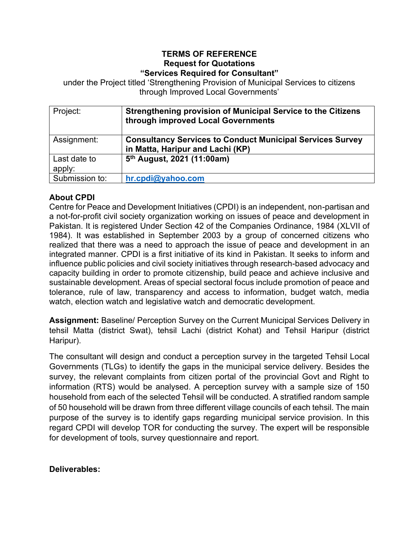#### **TERMS OF REFERENCE Request for Quotations "Services Required for Consultant"**

under the Project titled 'Strengthening Provision of Municipal Services to citizens through Improved Local Governments'

| Project:               | <b>Strengthening provision of Municipal Service to the Citizens</b><br>through improved Local Governments |
|------------------------|-----------------------------------------------------------------------------------------------------------|
| Assignment:            | <b>Consultancy Services to Conduct Municipal Services Survey</b><br>in Matta, Haripur and Lachi (KP)      |
| Last date to<br>apply: | 5 <sup>th</sup> August, 2021 (11:00am)                                                                    |
| Submission to:         | hr.cpdi@yahoo.com                                                                                         |

### **About CPDI**

Centre for Peace and Development Initiatives (CPDI) is an independent, non-partisan and a not-for-profit civil society organization working on issues of peace and development in Pakistan. It is registered Under Section 42 of the Companies Ordinance, 1984 (XLVII of 1984). It was established in September 2003 by a group of concerned citizens who realized that there was a need to approach the issue of peace and development in an integrated manner. CPDI is a first initiative of its kind in Pakistan. It seeks to inform and influence public policies and civil society initiatives through research-based advocacy and capacity building in order to promote citizenship, build peace and achieve inclusive and sustainable development. Areas of special sectoral focus include promotion of peace and tolerance, rule of law, transparency and access to information, budget watch, media watch, election watch and legislative watch and democratic development.

**Assignment:** Baseline/ Perception Survey on the Current Municipal Services Delivery in tehsil Matta (district Swat), tehsil Lachi (district Kohat) and Tehsil Haripur (district Haripur).

The consultant will design and conduct a perception survey in the targeted Tehsil Local Governments (TLGs) to identify the gaps in the municipal service delivery. Besides the survey, the relevant complaints from citizen portal of the provincial Govt and Right to information (RTS) would be analysed. A perception survey with a sample size of 150 household from each of the selected Tehsil will be conducted. A stratified random sample of 50 household will be drawn from three different village councils of each tehsil. The main purpose of the survey is to identify gaps regarding municipal service provision. In this regard CPDI will develop TOR for conducting the survey. The expert will be responsible for development of tools, survey questionnaire and report.

#### **Deliverables:**